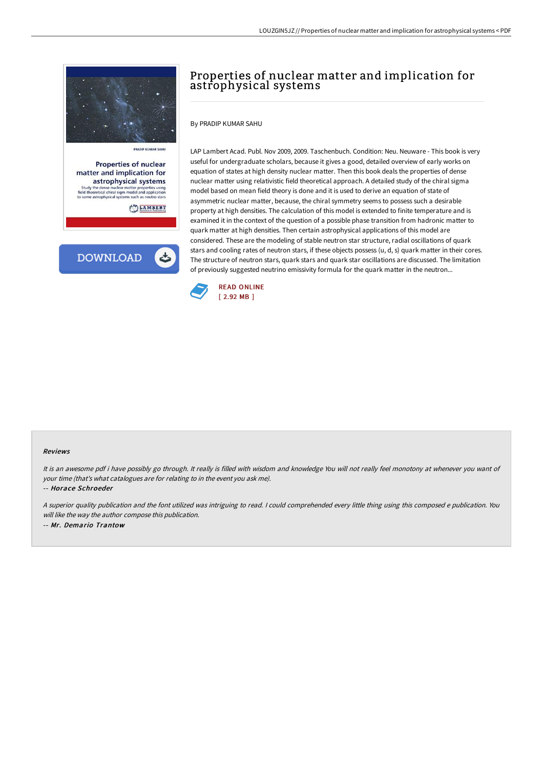

PRADIP KUMAR SAHL

**Properties of nuclear** matter and implication for astrophysical systems dy the dense nuclear matter properties using<br>theoretical chiral sigm model and application<br>me astrophysical systems such as neutro stars

LAMBERT



# Properties of nuclear matter and implication for astrophysical systems

By PRADIP KUMAR SAHU

LAP Lambert Acad. Publ. Nov 2009, 2009. Taschenbuch. Condition: Neu. Neuware - This book is very useful for undergraduate scholars, because it gives a good, detailed overview of early works on equation of states at high density nuclear matter. Then this book deals the properties of dense nuclear matter using relativistic field theoretical approach. A detailed study of the chiral sigma model based on mean field theory is done and it is used to derive an equation of state of asymmetric nuclear matter, because, the chiral symmetry seems to possess such a desirable property at high densities. The calculation of this model is extended to finite temperature and is examined it in the context of the question of a possible phase transition from hadronic matter to quark matter at high densities. Then certain astrophysical applications of this model are considered. These are the modeling of stable neutron star structure, radial oscillations of quark stars and cooling rates of neutron stars, if these objects possess (u, d, s) quark matter in their cores. The structure of neutron stars, quark stars and quark star oscillations are discussed. The limitation of previously suggested neutrino emissivity formula for the quark matter in the neutron...



#### Reviews

It is an awesome pdf i have possibly go through. It really is filled with wisdom and knowledge You will not really feel monotony at whenever you want of your time (that's what catalogues are for relating to in the event you ask me).

-- Horace Schroeder

<sup>A</sup> superior quality publication and the font utilized was intriguing to read. <sup>I</sup> could comprehended every little thing using this composed <sup>e</sup> publication. You will like the way the author compose this publication. -- Mr. Demario Trantow